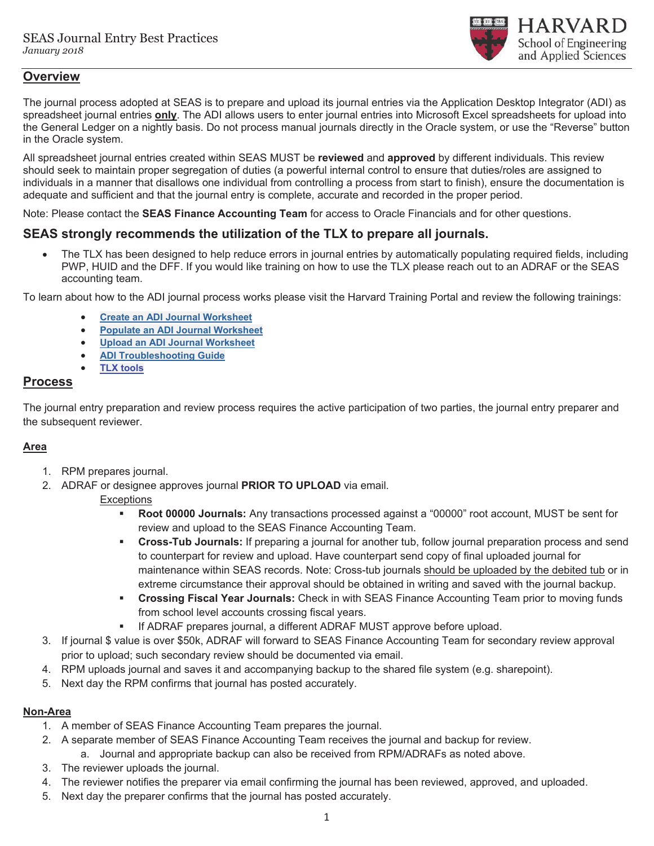

## **Overview**

The journal process adopted at SEAS is to prepare and upload its journal entries via the Application Desktop Integrator (ADI) as spreadsheet journal entries **only**. The ADI allows users to enter journal entries into Microsoft Excel spreadsheets for upload into the General Ledger on a nightly basis. Do not process manual journals directly in the Oracle system, or use the "Reverse" button in the Oracle system.

All spreadsheet journal entries created within SEAS MUST be **reviewed** and **approved** by different individuals. This review should seek to maintain proper segregation of duties (a powerful internal control to ensure that duties/roles are assigned to individuals in a manner that disallows one individual from controlling a process from start to finish), ensure the documentation is adequate and sufficient and that the journal entry is complete, accurate and recorded in the proper period.

Note: Please contact the **SEAS Finance Accounting Team** for access to Oracle Financials and for other questions.

## **SEAS strongly recommends the utilization of the TLX to prepare all journals.**

The TLX has been designed to help reduce errors in journal entries by automatically populating required fields, including PWP, HUID and the DFF. If you would like training on how to use the TLX please reach out to an ADRAF or the SEAS accounting team.

To learn about how to the ADI journal process works please visit the Harvard Training Portal and review the following trainings:

- x **Create an ADI Journal Worksheet**
- **Populate an ADI Journal Worksheet**
- x **Upload an ADI Journal Worksheet**
- x **ADI Troubleshooting Guide**
- **TLX tools**

#### **Process**

The journal entry preparation and review process requires the active participation of two parties, the journal entry preparer and the subsequent reviewer.

## **Area**

- 1. RPM prepares journal.
- 2. ADRAF or designee approves journal **PRIOR TO UPLOAD** via email.

#### **Exceptions**

- **Root 00000 Journals:** Any transactions processed against a "00000" root account, MUST be sent for review and upload to the SEAS Finance Accounting Team.
- **Cross-Tub Journals:** If preparing a journal for another tub, follow journal preparation process and send to counterpart for review and upload. Have counterpart send copy of final uploaded journal for maintenance within SEAS records. Note: Cross-tub journals should be uploaded by the debited tub or in extreme circumstance their approval should be obtained in writing and saved with the journal backup.
- **Crossing Fiscal Year Journals:** Check in with SEAS Finance Accounting Team prior to moving funds from school level accounts crossing fiscal years.
- If ADRAF prepares journal, a different ADRAF MUST approve before upload.
- 3. If journal \$ value is over \$50k, ADRAF will forward to SEAS Finance Accounting Team for secondary review approval prior to upload; such secondary review should be documented via email.
- 4. RPM uploads journal and saves it and accompanying backup to the shared file system (e.g. sharepoint).
- 5. Next day the RPM confirms that journal has posted accurately.

#### **Non-Area**

- 1. A member of SEAS Finance Accounting Team prepares the journal.
- 2. A separate member of SEAS Finance Accounting Team receives the journal and backup for review.
	- a. Journal and appropriate backup can also be received from RPM/ADRAFs as noted above.
- 3. The reviewer uploads the journal.
- 4. The reviewer notifies the preparer via email confirming the journal has been reviewed, approved, and uploaded.
- 5. Next day the preparer confirms that the journal has posted accurately.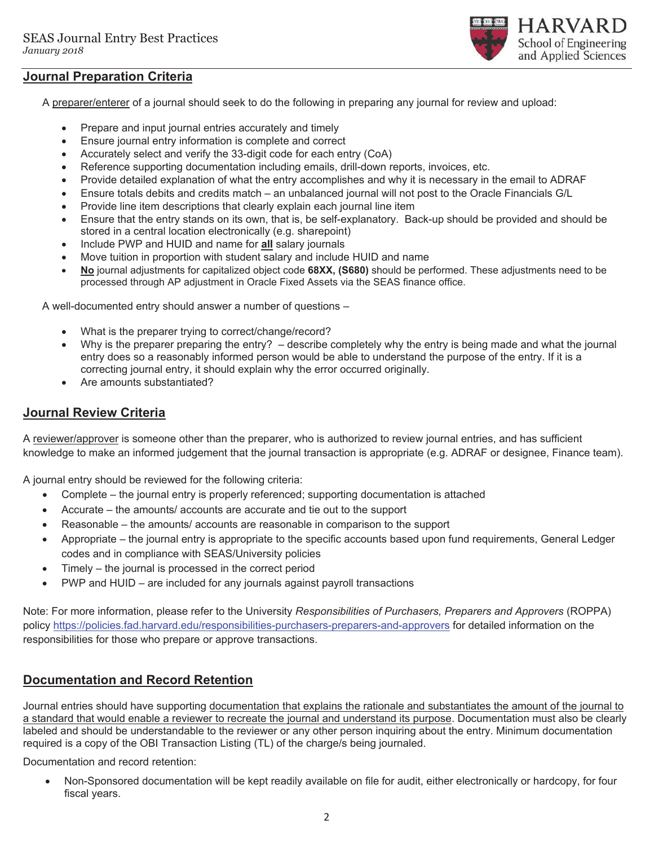

A preparer/enterer of a journal should seek to do the following in preparing any journal for review and upload:

- Prepare and input journal entries accurately and timely
- Ensure journal entry information is complete and correct
- Accurately select and verify the 33-digit code for each entry  $(CoA)$
- Reference supporting documentation including emails, drill-down reports, invoices, etc.
- Provide detailed explanation of what the entry accomplishes and why it is necessary in the email to ADRAF
- Ensure totals debits and credits match an unbalanced journal will not post to the Oracle Financials G/L
- Provide line item descriptions that clearly explain each journal line item
- Ensure that the entry stands on its own, that is, be self-explanatory. Back-up should be provided and should be stored in a central location electronically (e.g. sharepoint)

**HARVARD** School of Engineering and Applied Sciences

- Include PWP and HUID and name for **all** salary journals
- Move tuition in proportion with student salary and include HUID and name
- x **No** journal adjustments for capitalized object code **68XX, (S680)** should be performed. These adjustments need to be processed through AP adjustment in Oracle Fixed Assets via the SEAS finance office.

A well-documented entry should answer a number of questions –

- What is the preparer trying to correct/change/record?
- Why is the preparer preparing the entry? describe completely why the entry is being made and what the journal entry does so a reasonably informed person would be able to understand the purpose of the entry. If it is a correcting journal entry, it should explain why the error occurred originally.
- Are amounts substantiated?

## **Journal Review Criteria**

A reviewer/approver is someone other than the preparer, who is authorized to review journal entries, and has sufficient knowledge to make an informed judgement that the journal transaction is appropriate (e.g. ADRAF or designee, Finance team).

A journal entry should be reviewed for the following criteria:

- Complete the journal entry is properly referenced; supporting documentation is attached
- Accurate the amounts/ accounts are accurate and tie out to the support
- x Reasonable the amounts/ accounts are reasonable in comparison to the support
- x Appropriate the journal entry is appropriate to the specific accounts based upon fund requirements, General Ledger codes and in compliance with SEAS/University policies
- $\bullet$  Timely the journal is processed in the correct period
- PWP and HUID are included for any journals against payroll transactions

Note: For more information, please refer to the University *Responsibilities of Purchasers, Preparers and Approvers* (ROPPA) policy https://policies.fad.harvard.edu/responsibilities-purchasers-preparers-and-approvers for detailed information on the responsibilities for those who prepare or approve transactions.

## **Documentation and Record Retention**

Journal entries should have supporting documentation that explains the rationale and substantiates the amount of the journal to a standard that would enable a reviewer to recreate the journal and understand its purpose. Documentation must also be clearly labeled and should be understandable to the reviewer or any other person inquiring about the entry. Minimum documentation required is a copy of the OBI Transaction Listing (TL) of the charge/s being journaled.

Documentation and record retention:

Non-Sponsored documentation will be kept readily available on file for audit, either electronically or hardcopy, for four fiscal years.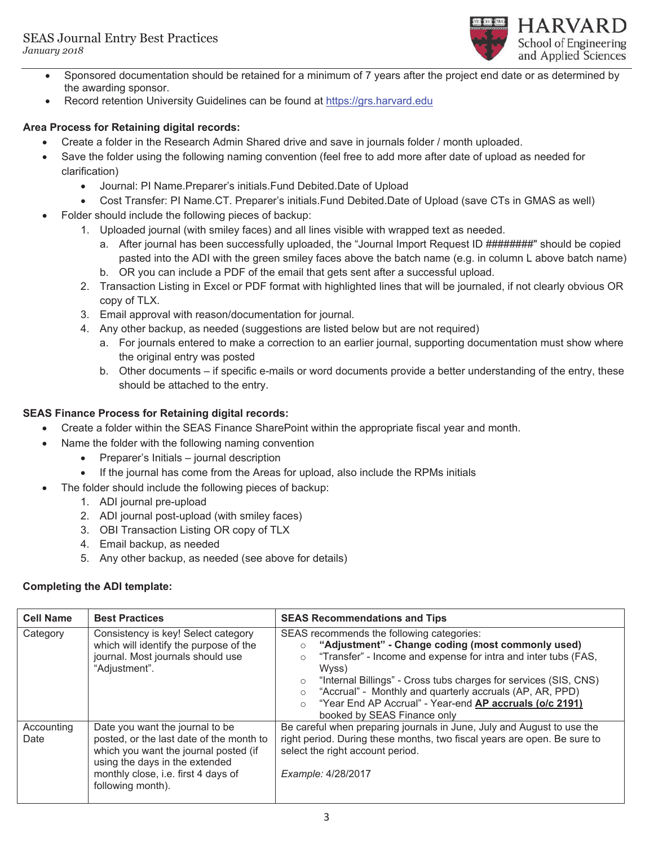

- Sponsored documentation should be retained for a minimum of 7 years after the project end date or as determined by the awarding sponsor.
- Record retention University Guidelines can be found at https://grs.harvard.edu

### **Area Process for Retaining digital records:**

- Create a folder in the Research Admin Shared drive and save in journals folder / month uploaded.
- Save the folder using the following naming convention (feel free to add more after date of upload as needed for clarification)
	- Journal: PI Name. Preparer's initials. Fund Debited. Date of Upload
	- x Cost Transfer: PI Name.CT. Preparer's initials.Fund Debited.Date of Upload (save CTs in GMAS as well)
- Folder should include the following pieces of backup:
	- 1. Uploaded journal (with smiley faces) and all lines visible with wrapped text as needed.
		- a. After journal has been successfully uploaded, the "Journal Import Request ID ########" should be copied pasted into the ADI with the green smiley faces above the batch name (e.g. in column L above batch name)
		- b. OR you can include a PDF of the email that gets sent after a successful upload.
	- 2. Transaction Listing in Excel or PDF format with highlighted lines that will be journaled, if not clearly obvious OR copy of TLX.
	- 3. Email approval with reason/documentation for journal.
	- 4. Any other backup, as needed (suggestions are listed below but are not required)
		- a. For journals entered to make a correction to an earlier journal, supporting documentation must show where the original entry was posted
		- b. Other documents if specific e-mails or word documents provide a better understanding of the entry, these should be attached to the entry.

### **SEAS Finance Process for Retaining digital records:**

- Create a folder within the SEAS Finance SharePoint within the appropriate fiscal year and month.
- Name the folder with the following naming convention
	- $\bullet$  Preparer's Initials journal description
	- If the journal has come from the Areas for upload, also include the RPMs initials
	- The folder should include the following pieces of backup:
		- 1. ADI journal pre-upload
		- 2. ADI journal post-upload (with smiley faces)
		- 3. OBI Transaction Listing OR copy of TLX
		- 4. Email backup, as needed
		- 5. Any other backup, as needed (see above for details)

#### **Completing the ADI template:**

| <b>Cell Name</b>   | <b>Best Practices</b>                                                                                                                                                                                              | <b>SEAS Recommendations and Tips</b>                                                                                                                                                                                                                                                                                                                                                                                                 |
|--------------------|--------------------------------------------------------------------------------------------------------------------------------------------------------------------------------------------------------------------|--------------------------------------------------------------------------------------------------------------------------------------------------------------------------------------------------------------------------------------------------------------------------------------------------------------------------------------------------------------------------------------------------------------------------------------|
| Category           | Consistency is key! Select category<br>which will identify the purpose of the<br>journal. Most journals should use<br>"Adjustment".                                                                                | SEAS recommends the following categories:<br>"Adjustment" - Change coding (most commonly used)<br>"Transfer" - Income and expense for intra and inter tubs (FAS,<br>$\circ$<br>Wyss)<br>"Internal Billings" - Cross tubs charges for services (SIS, CNS)<br>$\circ$<br>"Accrual" - Monthly and quarterly accruals (AP, AR, PPD)<br>$\circ$<br>"Year End AP Accrual" - Year-end AP accruals (o/c 2191)<br>booked by SEAS Finance only |
| Accounting<br>Date | Date you want the journal to be<br>posted, or the last date of the month to<br>which you want the journal posted (if<br>using the days in the extended<br>monthly close, i.e. first 4 days of<br>following month). | Be careful when preparing journals in June, July and August to use the<br>right period. During these months, two fiscal years are open. Be sure to<br>select the right account period.<br>Example: 4/28/2017                                                                                                                                                                                                                         |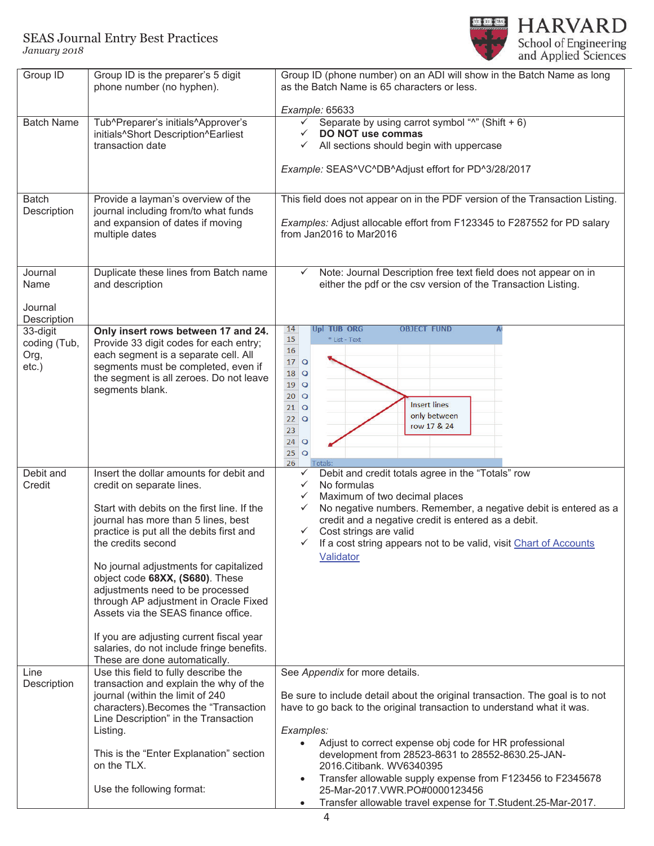

| Group ID                                     | Group ID is the preparer's 5 digit<br>phone number (no hyphen).                                                                                                                                                                                                                                                                                                                                                                                                                                                                                         | Group ID (phone number) on an ADI will show in the Batch Name as long<br>as the Batch Name is 65 characters or less.                                                                                                                                                                                                                                                                                                                                                                                                                      |  |  |
|----------------------------------------------|---------------------------------------------------------------------------------------------------------------------------------------------------------------------------------------------------------------------------------------------------------------------------------------------------------------------------------------------------------------------------------------------------------------------------------------------------------------------------------------------------------------------------------------------------------|-------------------------------------------------------------------------------------------------------------------------------------------------------------------------------------------------------------------------------------------------------------------------------------------------------------------------------------------------------------------------------------------------------------------------------------------------------------------------------------------------------------------------------------------|--|--|
|                                              |                                                                                                                                                                                                                                                                                                                                                                                                                                                                                                                                                         | Example: 65633                                                                                                                                                                                                                                                                                                                                                                                                                                                                                                                            |  |  |
| <b>Batch Name</b>                            | Tub^Preparer's initials^Approver's<br>initials^Short Description^Earliest<br>transaction date                                                                                                                                                                                                                                                                                                                                                                                                                                                           | Separate by using carrot symbol "^" (Shift + 6)<br>✓<br>DO NOT use commas<br>All sections should begin with uppercase<br>$\checkmark$<br>Example: SEAS^VC^DB^Adjust effort for PD^3/28/2017                                                                                                                                                                                                                                                                                                                                               |  |  |
| <b>Batch</b><br>Description                  | Provide a layman's overview of the<br>journal including from/to what funds<br>and expansion of dates if moving<br>multiple dates                                                                                                                                                                                                                                                                                                                                                                                                                        | This field does not appear on in the PDF version of the Transaction Listing.<br>Examples: Adjust allocable effort from F123345 to F287552 for PD salary<br>from Jan2016 to Mar2016                                                                                                                                                                                                                                                                                                                                                        |  |  |
| Journal<br>Name<br>Journal<br>Description    | Duplicate these lines from Batch name<br>and description                                                                                                                                                                                                                                                                                                                                                                                                                                                                                                | Note: Journal Description free text field does not appear on in<br>$\checkmark$<br>either the pdf or the csv version of the Transaction Listing.                                                                                                                                                                                                                                                                                                                                                                                          |  |  |
| 33-digit<br>coding (Tub,<br>Org,<br>$etc.$ ) | Only insert rows between 17 and 24.<br>Provide 33 digit codes for each entry;<br>each segment is a separate cell. All<br>segments must be completed, even if<br>the segment is all zeroes. Do not leave<br>segments blank.                                                                                                                                                                                                                                                                                                                              | <b>OBJECT FUND</b><br>14<br>Upl TUB ORG<br>15<br>* List - Text<br>16<br>$17$ O<br>18<br>$\circ$<br>19<br>$\circ$<br>20<br>$\circ$<br><b>Insert lines</b><br>21<br>$\circ$<br>only between<br>22<br>$\circ$<br>row 17 & 24<br>23<br>$24$ O<br>$25$ O<br>26<br>Totals:                                                                                                                                                                                                                                                                      |  |  |
| Debit and<br>Credit                          | Insert the dollar amounts for debit and<br>credit on separate lines.<br>Start with debits on the first line. If the<br>journal has more than 5 lines, best<br>practice is put all the debits first and<br>the credits second<br>No journal adjustments for capitalized<br>object code 68XX, (S680). These<br>adjustments need to be processed<br>through AP adjustment in Oracle Fixed<br>Assets via the SEAS finance office.<br>If you are adjusting current fiscal year<br>salaries, do not include fringe benefits.<br>These are done automatically. | Debit and credit totals agree in the "Totals" row<br>$\checkmark$<br>No formulas<br>$\checkmark$<br>Maximum of two decimal places<br>$\checkmark$<br>No negative numbers. Remember, a negative debit is entered as a<br>$\checkmark$<br>credit and a negative credit is entered as a debit.<br>$\checkmark$<br>Cost strings are valid<br>If a cost string appears not to be valid, visit Chart of Accounts<br>$\checkmark$<br>Validator                                                                                                   |  |  |
| Line<br>Description                          | Use this field to fully describe the<br>transaction and explain the why of the<br>journal (within the limit of 240<br>characters). Becomes the "Transaction<br>Line Description" in the Transaction<br>Listing.<br>This is the "Enter Explanation" section<br>on the TLX.<br>Use the following format:                                                                                                                                                                                                                                                  | See Appendix for more details.<br>Be sure to include detail about the original transaction. The goal is to not<br>have to go back to the original transaction to understand what it was.<br>Examples:<br>Adjust to correct expense obj code for HR professional<br>development from 28523-8631 to 28552-8630.25-JAN-<br>2016.Citibank. WV6340395<br>Transfer allowable supply expense from F123456 to F2345678<br>$\bullet$<br>25-Mar-2017.VWR.PO#0000123456<br>Transfer allowable travel expense for T.Student.25-Mar-2017.<br>$\bullet$ |  |  |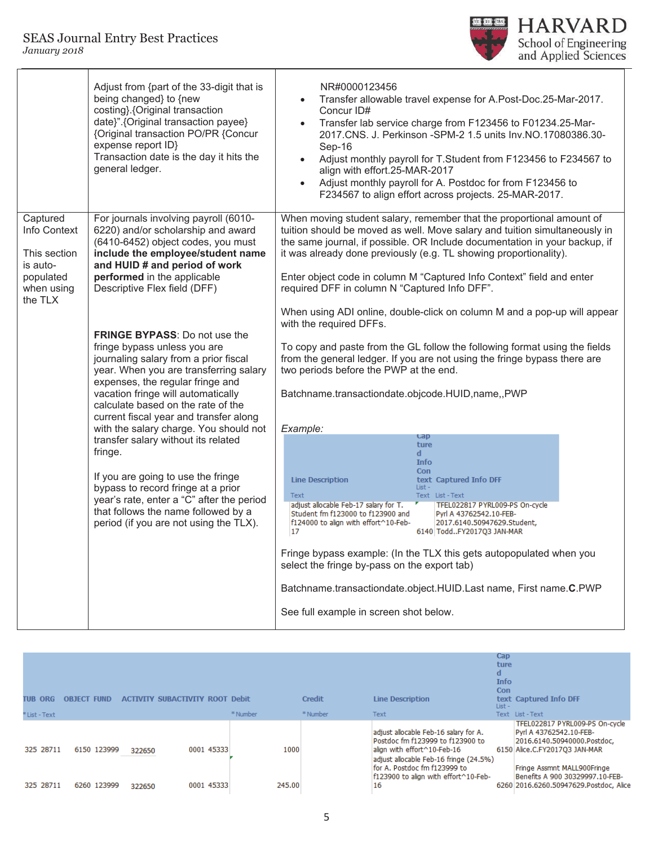#### SEAS Journal Entry Best Practices *January 2018*



|                                                                    | Adjust from {part of the 33-digit that is<br>being changed} to {new<br>costing}. {Original transaction<br>date}". {Original transaction payee}<br>{Original transaction PO/PR {Concur<br>expense report ID}<br>Transaction date is the day it hits the<br>general ledger.                                                                                   | NR#0000123456<br>Transfer allowable travel expense for A.Post-Doc.25-Mar-2017.<br>Concur ID#<br>Transfer lab service charge from F123456 to F01234.25-Mar-<br>$\bullet$<br>2017.CNS. J. Perkinson -SPM-2 1.5 units Inv.NO.17080386.30-<br>Sep-16<br>Adjust monthly payroll for T.Student from F123456 to F234567 to<br>align with effort.25-MAR-2017<br>Adjust monthly payroll for A. Postdoc for from F123456 to<br>$\bullet$<br>F234567 to align effort across projects. 25-MAR-2017. |  |  |  |  |
|--------------------------------------------------------------------|-------------------------------------------------------------------------------------------------------------------------------------------------------------------------------------------------------------------------------------------------------------------------------------------------------------------------------------------------------------|-----------------------------------------------------------------------------------------------------------------------------------------------------------------------------------------------------------------------------------------------------------------------------------------------------------------------------------------------------------------------------------------------------------------------------------------------------------------------------------------|--|--|--|--|
| Captured<br>Info Context                                           | For journals involving payroll (6010-<br>6220) and/or scholarship and award<br>(6410-6452) object codes, you must                                                                                                                                                                                                                                           | When moving student salary, remember that the proportional amount of<br>tuition should be moved as well. Move salary and tuition simultaneously in<br>the same journal, if possible. OR Include documentation in your backup, if                                                                                                                                                                                                                                                        |  |  |  |  |
| This section<br>is auto-                                           | include the employee/student name<br>and HUID # and period of work                                                                                                                                                                                                                                                                                          | it was already done previously (e.g. TL showing proportionality).                                                                                                                                                                                                                                                                                                                                                                                                                       |  |  |  |  |
| populated<br>Descriptive Flex field (DFF)<br>when using<br>the TLX | performed in the applicable                                                                                                                                                                                                                                                                                                                                 | Enter object code in column M "Captured Info Context" field and enter<br>required DFF in column N "Captured Info DFF".                                                                                                                                                                                                                                                                                                                                                                  |  |  |  |  |
|                                                                    |                                                                                                                                                                                                                                                                                                                                                             | When using ADI online, double-click on column M and a pop-up will appear                                                                                                                                                                                                                                                                                                                                                                                                                |  |  |  |  |
|                                                                    | <b>FRINGE BYPASS:</b> Do not use the<br>fringe bypass unless you are<br>journaling salary from a prior fiscal<br>year. When you are transferring salary<br>expenses, the regular fringe and<br>vacation fringe will automatically<br>calculate based on the rate of the<br>current fiscal year and transfer along<br>with the salary charge. You should not | with the required DFFs.                                                                                                                                                                                                                                                                                                                                                                                                                                                                 |  |  |  |  |
|                                                                    |                                                                                                                                                                                                                                                                                                                                                             | To copy and paste from the GL follow the following format using the fields<br>from the general ledger. If you are not using the fringe bypass there are<br>two periods before the PWP at the end.                                                                                                                                                                                                                                                                                       |  |  |  |  |
|                                                                    |                                                                                                                                                                                                                                                                                                                                                             | Batchname.transactiondate.objcode.HUID,name,,PWP                                                                                                                                                                                                                                                                                                                                                                                                                                        |  |  |  |  |
|                                                                    |                                                                                                                                                                                                                                                                                                                                                             | Example:                                                                                                                                                                                                                                                                                                                                                                                                                                                                                |  |  |  |  |
|                                                                    | transfer salary without its related                                                                                                                                                                                                                                                                                                                         | cap<br>ture                                                                                                                                                                                                                                                                                                                                                                                                                                                                             |  |  |  |  |
|                                                                    | fringe.                                                                                                                                                                                                                                                                                                                                                     | $\mathbf d$<br><b>Info</b>                                                                                                                                                                                                                                                                                                                                                                                                                                                              |  |  |  |  |
|                                                                    | If you are going to use the fringe                                                                                                                                                                                                                                                                                                                          | Con<br><b>Line Description</b><br>text Captured Info DFF                                                                                                                                                                                                                                                                                                                                                                                                                                |  |  |  |  |
|                                                                    | bypass to record fringe at a prior                                                                                                                                                                                                                                                                                                                          | List -<br>Text<br>Text List-Text                                                                                                                                                                                                                                                                                                                                                                                                                                                        |  |  |  |  |
|                                                                    | year's rate, enter a "C" after the period<br>that follows the name followed by a                                                                                                                                                                                                                                                                            | adjust allocable Feb-17 salary for T.<br>TFEL022817 PYRL009-PS On-cycle<br>Student fm f123000 to f123900 and                                                                                                                                                                                                                                                                                                                                                                            |  |  |  |  |
|                                                                    | period (if you are not using the TLX).                                                                                                                                                                                                                                                                                                                      | Pyrl A 43762542.10-FEB-<br>f124000 to align with effort^10-Feb-<br>2017.6140.50947629.Student,<br>17<br>6140 ToddFY2017Q3 JAN-MAR                                                                                                                                                                                                                                                                                                                                                       |  |  |  |  |
|                                                                    |                                                                                                                                                                                                                                                                                                                                                             | Fringe bypass example: (In the TLX this gets autopopulated when you                                                                                                                                                                                                                                                                                                                                                                                                                     |  |  |  |  |
|                                                                    |                                                                                                                                                                                                                                                                                                                                                             | select the fringe by-pass on the export tab)                                                                                                                                                                                                                                                                                                                                                                                                                                            |  |  |  |  |
|                                                                    |                                                                                                                                                                                                                                                                                                                                                             | Batchname.transactiondate.object.HUID.Last name, First name.C.PWP                                                                                                                                                                                                                                                                                                                                                                                                                       |  |  |  |  |
|                                                                    |                                                                                                                                                                                                                                                                                                                                                             | See full example in screen shot below.                                                                                                                                                                                                                                                                                                                                                                                                                                                  |  |  |  |  |

| TUB<br>ORG<br>* List - Text | OBJE                       |                  | <b>ACTIVITY SUBACTIVITY ROOT Debit</b> | * Number       | <b>Credit</b><br>* Number | <b>Line Description</b><br>Text                                                                                                                                                                                                  | Cap<br>ture<br>d<br><b>Info</b><br>Con<br>List - | text Captured Info DFF<br>Text List-Text                                                                                                                                                                                              |
|-----------------------------|----------------------------|------------------|----------------------------------------|----------------|---------------------------|----------------------------------------------------------------------------------------------------------------------------------------------------------------------------------------------------------------------------------|--------------------------------------------------|---------------------------------------------------------------------------------------------------------------------------------------------------------------------------------------------------------------------------------------|
| 325 28711<br>325 28711      | 6150 123999<br>6260 123999 | 322650<br>322650 | 0001 45333<br>0001 45333               | 1000<br>245.00 |                           | adjust allocable Feb-16 salary for A.<br>Postdoc fm f123999 to f123900 to<br>align with effort^10-Feb-16<br>adiust allocable Feb-16 fringe (24.5%)<br>for A. Postdoc fm f123999 to<br>f123900 to align with effort^10-Feb-<br>16 |                                                  | TFEL022817 PYRL009-PS On-cycle<br>Pyrl A 43762542.10-FEB-<br>2016.6140.50940000.Postdoc,<br>6150 Alice.C.FY2017Q3 JAN-MAR<br>Fringe Assmnt MALL900Fringe<br>Benefits A 900 30329997.10-FEB-<br>6260 2016.6260.50947629.Postdoc, Alice |